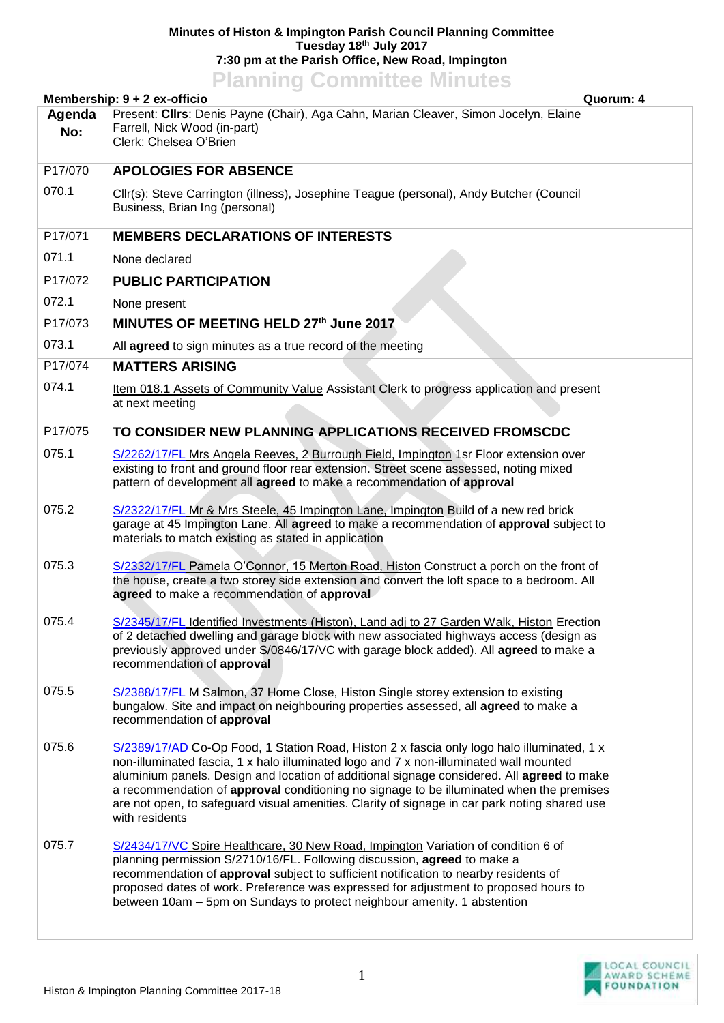## **Minutes of Histon & Impington Parish Council Planning Committee Tuesday 18th July 2017 7:30 pm at the Parish Office, New Road, Impington**

## **Planning Committee Minutes**

|               | Membership: 9 + 2 ex-officio                                                                                                                                                                                                                                                                                                                                                                                                                                                                      | Quorum: 4 |
|---------------|---------------------------------------------------------------------------------------------------------------------------------------------------------------------------------------------------------------------------------------------------------------------------------------------------------------------------------------------------------------------------------------------------------------------------------------------------------------------------------------------------|-----------|
| Agenda<br>No: | Present: Cllrs: Denis Payne (Chair), Aga Cahn, Marian Cleaver, Simon Jocelyn, Elaine<br>Farrell, Nick Wood (in-part)<br>Clerk: Chelsea O'Brien                                                                                                                                                                                                                                                                                                                                                    |           |
| P17/070       | <b>APOLOGIES FOR ABSENCE</b>                                                                                                                                                                                                                                                                                                                                                                                                                                                                      |           |
| 070.1         | Cllr(s): Steve Carrington (illness), Josephine Teague (personal), Andy Butcher (Council<br>Business, Brian Ing (personal)                                                                                                                                                                                                                                                                                                                                                                         |           |
| P17/071       | <b>MEMBERS DECLARATIONS OF INTERESTS</b>                                                                                                                                                                                                                                                                                                                                                                                                                                                          |           |
| 071.1         | None declared                                                                                                                                                                                                                                                                                                                                                                                                                                                                                     |           |
| P17/072       | <b>PUBLIC PARTICIPATION</b>                                                                                                                                                                                                                                                                                                                                                                                                                                                                       |           |
| 072.1         | None present                                                                                                                                                                                                                                                                                                                                                                                                                                                                                      |           |
| P17/073       | MINUTES OF MEETING HELD 27th June 2017                                                                                                                                                                                                                                                                                                                                                                                                                                                            |           |
| 073.1         | All agreed to sign minutes as a true record of the meeting                                                                                                                                                                                                                                                                                                                                                                                                                                        |           |
| P17/074       | <b>MATTERS ARISING</b>                                                                                                                                                                                                                                                                                                                                                                                                                                                                            |           |
| 074.1         | Item 018.1 Assets of Community Value Assistant Clerk to progress application and present<br>at next meeting                                                                                                                                                                                                                                                                                                                                                                                       |           |
| P17/075       | TO CONSIDER NEW PLANNING APPLICATIONS RECEIVED FROMSCDC                                                                                                                                                                                                                                                                                                                                                                                                                                           |           |
| 075.1         | S/2262/17/FL Mrs Angela Reeves, 2 Burrough Field, Impington 1sr Floor extension over<br>existing to front and ground floor rear extension. Street scene assessed, noting mixed<br>pattern of development all agreed to make a recommendation of approval                                                                                                                                                                                                                                          |           |
| 075.2         | S/2322/17/FL Mr & Mrs Steele, 45 Impington Lane, Impington Build of a new red brick<br>garage at 45 Impington Lane. All agreed to make a recommendation of approval subject to<br>materials to match existing as stated in application                                                                                                                                                                                                                                                            |           |
| 075.3         | S/2332/17/FL Pamela O'Connor, 15 Merton Road, Histon Construct a porch on the front of<br>the house, create a two storey side extension and convert the loft space to a bedroom. All<br>agreed to make a recommendation of approval                                                                                                                                                                                                                                                               |           |
| 075.4         | S/2345/17/FL Identified Investments (Histon), Land adj to 27 Garden Walk, Histon Erection<br>of 2 detached dwelling and garage block with new associated highways access (design as<br>previously approved under S/0846/17/VC with garage block added). All agreed to make a<br>recommendation of approval                                                                                                                                                                                        |           |
| 075.5         | S/2388/17/FL M Salmon, 37 Home Close, Histon Single storey extension to existing<br>bungalow. Site and impact on neighbouring properties assessed, all agreed to make a<br>recommendation of approval                                                                                                                                                                                                                                                                                             |           |
| 075.6         | S/2389/17/AD Co-Op Food, 1 Station Road, Histon 2 x fascia only logo halo illuminated, 1 x<br>non-illuminated fascia, 1 x halo illuminated logo and 7 x non-illuminated wall mounted<br>aluminium panels. Design and location of additional signage considered. All agreed to make<br>a recommendation of approval conditioning no signage to be illuminated when the premises<br>are not open, to safeguard visual amenities. Clarity of signage in car park noting shared use<br>with residents |           |
| 075.7         | S/2434/17/VC Spire Healthcare, 30 New Road, Impington Variation of condition 6 of<br>planning permission S/2710/16/FL. Following discussion, agreed to make a<br>recommendation of approval subject to sufficient notification to nearby residents of<br>proposed dates of work. Preference was expressed for adjustment to proposed hours to<br>between 10am - 5pm on Sundays to protect neighbour amenity. 1 abstention                                                                         |           |